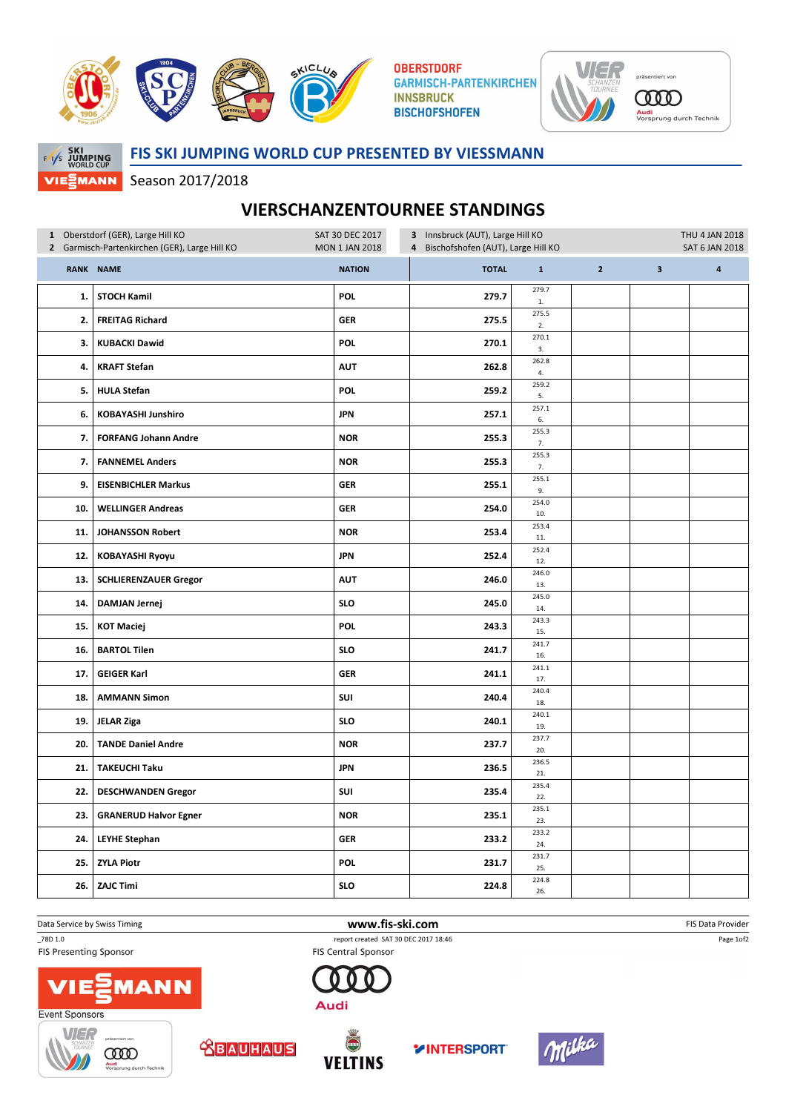

**OBERSTDORF GARMISCH-PARTENKIRCHEN INNSBRUCK BISCHOFSHOFEN** 



**SKI<br>F/I/S JUMPING**<br>WORLD CUP MANN VIE:

## FIS SKI JUMPING WORLD CUP PRESENTED BY VIESSMANN

Season 2017/2018

## VIERSCHANZENTOURNEE STANDINGS

| 1 Oberstdorf (GER), Large Hill KO             |                              | SAT 30 DEC 2017<br>3 Innsbruck (AUT), Large Hill KO<br>4 Bischofshofen (AUT), Large Hill KO |              |                       |                |              | THU 4 JAN 2018 |
|-----------------------------------------------|------------------------------|---------------------------------------------------------------------------------------------|--------------|-----------------------|----------------|--------------|----------------|
| 2 Garmisch-Partenkirchen (GER), Large Hill KO |                              | <b>MON 1 JAN 2018</b>                                                                       |              | <b>SAT 6 JAN 2018</b> |                |              |                |
|                                               | RANK NAME                    | <b>NATION</b>                                                                               | <b>TOTAL</b> | $\mathbf 1$           | $\overline{2}$ | $\mathbf{3}$ | $\pmb{4}$      |
| 1.                                            | <b>STOCH Kamil</b>           | POL                                                                                         | 279.7        | 279.7<br>1.           |                |              |                |
| 2.                                            | <b>FREITAG Richard</b>       | <b>GER</b>                                                                                  | 275.5        | 275.5<br>2.           |                |              |                |
| 3.                                            | <b>KUBACKI Dawid</b>         | <b>POL</b>                                                                                  | 270.1        | 270.1<br>3.           |                |              |                |
| 4.                                            | <b>KRAFT Stefan</b>          | <b>AUT</b>                                                                                  | 262.8        | 262.8<br>4.           |                |              |                |
| 5.                                            | <b>HULA Stefan</b>           | <b>POL</b>                                                                                  | 259.2        | 259.2<br>5.           |                |              |                |
| 6.                                            | <b>KOBAYASHI Junshiro</b>    | <b>JPN</b>                                                                                  | 257.1        | 257.1<br>6.           |                |              |                |
| 7.1                                           | <b>FORFANG Johann Andre</b>  | <b>NOR</b>                                                                                  | 255.3        | 255.3<br>7.           |                |              |                |
| 7.                                            | <b>FANNEMEL Anders</b>       | <b>NOR</b>                                                                                  | 255.3        | 255.3<br>7.           |                |              |                |
| 9.                                            | <b>EISENBICHLER Markus</b>   | <b>GER</b>                                                                                  | 255.1        | 255.1<br>9.           |                |              |                |
| 10.                                           | <b>WELLINGER Andreas</b>     | <b>GER</b>                                                                                  | 254.0        | 254.0<br>10.          |                |              |                |
| 11.                                           | <b>JOHANSSON Robert</b>      | <b>NOR</b>                                                                                  | 253.4        | 253.4<br>11.          |                |              |                |
| 12.                                           | <b>KOBAYASHI Ryoyu</b>       | <b>JPN</b>                                                                                  | 252.4        | 252.4<br>12.          |                |              |                |
| 13.                                           | <b>SCHLIERENZAUER Gregor</b> | <b>AUT</b>                                                                                  | 246.0        | 246.0<br>13.          |                |              |                |
| 14.                                           | <b>DAMJAN Jernej</b>         | <b>SLO</b>                                                                                  | 245.0        | 245.0<br>14.          |                |              |                |
| 15.                                           | <b>KOT Maciej</b>            | <b>POL</b>                                                                                  | 243.3        | 243.3<br>15.          |                |              |                |
| 16.                                           | <b>BARTOL Tilen</b>          | <b>SLO</b>                                                                                  | 241.7        | 241.7<br>16.          |                |              |                |
| 17.                                           | <b>GEIGER Karl</b>           | <b>GER</b>                                                                                  | 241.1        | 241.1<br>17.          |                |              |                |
| 18.                                           | <b>AMMANN Simon</b>          | SUI                                                                                         | 240.4        | 240.4<br>18.          |                |              |                |
| 19.                                           | <b>JELAR Ziga</b>            | <b>SLO</b>                                                                                  | 240.1        | 240.1<br>19.          |                |              |                |
| 20.                                           | <b>TANDE Daniel Andre</b>    | <b>NOR</b>                                                                                  | 237.7        | 237.7<br>20.          |                |              |                |
| 21.                                           | <b>TAKEUCHI Taku</b>         | <b>JPN</b>                                                                                  | 236.5        | 236.5<br>21.          |                |              |                |
| 22.                                           | <b>DESCHWANDEN Gregor</b>    | SUI                                                                                         | 235.4        | 235.4<br>22.          |                |              |                |
| 23.                                           | <b>GRANERUD Halvor Egner</b> | <b>NOR</b>                                                                                  | 235.1        | 235.1<br>23.          |                |              |                |
| 24.                                           | <b>LEYHE Stephan</b>         | GER                                                                                         | 233.2        | 233.2<br>24.          |                |              |                |
| 25.                                           | <b>ZYLA Piotr</b>            | POL                                                                                         | 231.7        | 231.7<br>25.          |                |              |                |
|                                               | 26. ZAJC Timi                | <b>SLO</b>                                                                                  | 224.8        | 224.8<br>26.          |                |              |                |

**FIS Presenting Sponsor** 



\_78D 1.0 report created SAT 30 DEC 2017 18:46 **FIS Central Sponsor** 





MANN









Page 1of2